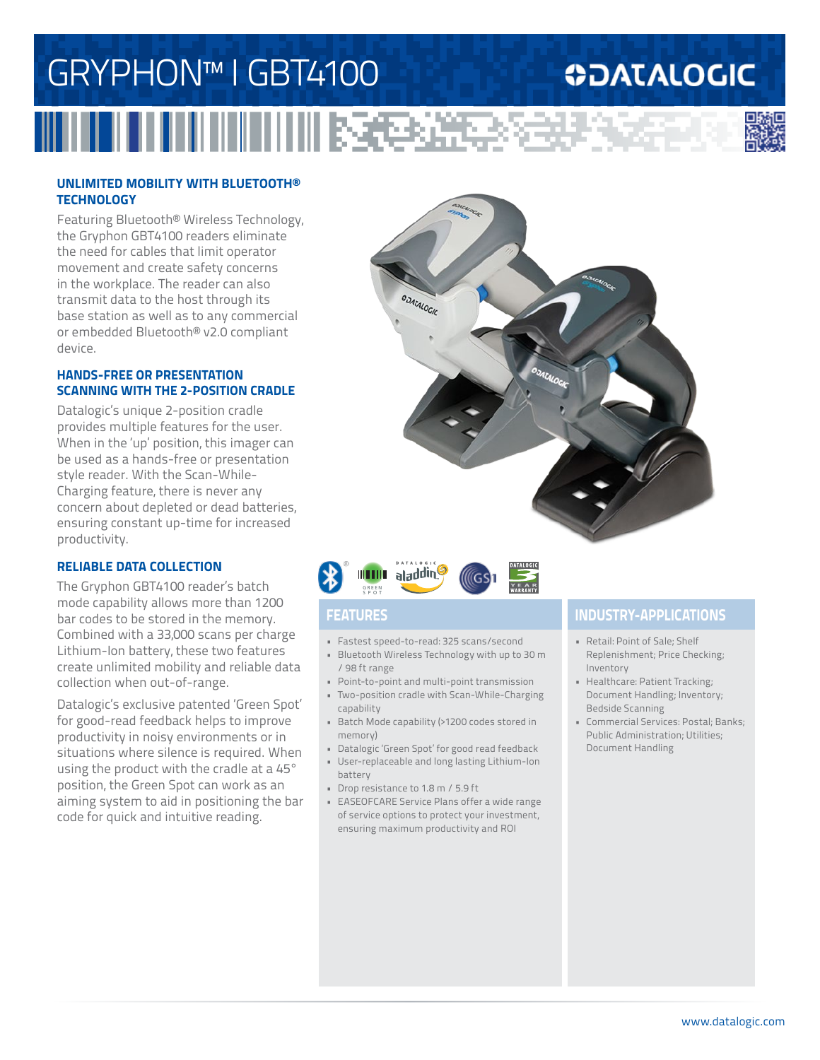# GRYPHON™ I GBT4100 **ODATALOGIC** <u>ii katika ta</u>

### **UNLIMITED MOBILITY WITH BLUETOOTH® TECHNOLOGY**

Featuring Bluetooth® Wireless Technology, the Gryphon GBT4100 readers eliminate the need for cables that limit operator movement and create safety concerns in the workplace. The reader can also transmit data to the host through its base station as well as to any commercial or embedded Bluetooth® v2.0 compliant device.

#### **HANDS-FREE OR PRESENTATION SCANNING WITH THE 2-POSITION CRADLE**

Datalogic's unique 2-position cradle provides multiple features for the user. When in the 'up' position, this imager can be used as a hands-free or presentation style reader. With the Scan-While-Charging feature, there is never any concern about depleted or dead batteries, ensuring constant up-time for increased productivity.

### **RELIABLE DATA COLLECTION**

The Gryphon GBT4100 reader's batch mode capability allows more than 1200 bar codes to be stored in the memory. Combined with a 33,000 scans per charge Lithium-Ion battery, these two features create unlimited mobility and reliable data collection when out-of-range.

Datalogic's exclusive patented 'Green Spot' for good-read feedback helps to improve productivity in noisy environments or in situations where silence is required. When using the product with the cradle at a 45° position, the Green Spot can work as an aiming system to aid in positioning the bar code for quick and intuitive reading.





- Fastest speed-to-read: 325 scans/second
- Bluetooth Wireless Technology with up to 30 m / 98 ft range
- Point-to-point and multi-point transmission
- Two-position cradle with Scan-While-Charging capability
- Batch Mode capability (>1200 codes stored in memory)
- Datalogic 'Green Spot' for good read feedback • User-replaceable and long lasting Lithium-Ion
- battery
- Drop resistance to 1.8 m / 5.9 ft
- EASEOFCARE Service Plans offer a wide range of service options to protect your investment, ensuring maximum productivity and ROI

### **FEATURES INDUSTRY-APPLICATIONS**

- Retail: Point of Sale; Shelf Replenishment; Price Checking; Inventory
- Healthcare: Patient Tracking; Document Handling; Inventory; Bedside Scanning
- Commercial Services: Postal; Banks; Public Administration; Utilities; Document Handling